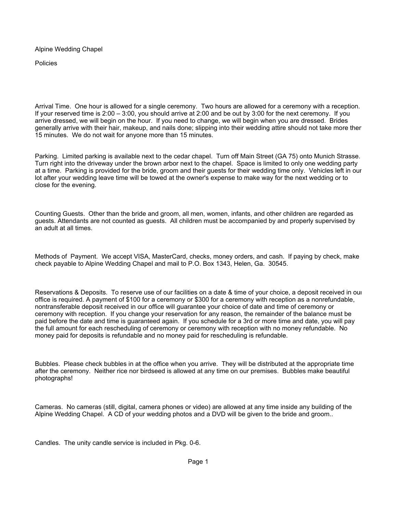Alpine Wedding Chapel

Policies

Arrival Time. One hour is allowed for a single ceremony. Two hours are allowed for a ceremony with a reception. If your reserved time is 2:00 – 3:00, you should arrive at 2:00 and be out by 3:00 for the next ceremony. If you arrive dressed, we will begin on the hour. If you need to change, we will begin when you are dressed. Brides generally arrive with their hair, makeup, and nails done; slipping into their wedding attire should not take more ther 15 minutes. We do not wait for anyone more than 15 minutes.

Parking. Limited parking is available next to the cedar chapel. Turn off Main Street (GA 75) onto Munich Strasse. Turn right into the driveway under the brown arbor next to the chapel. Space is limited to only one wedding party at a time. Parking is provided for the bride, groom and their guests for their wedding time only. Vehicles left in our lot after your wedding leave time will be towed at the owner's expense to make way for the next wedding or to close for the evening.

Counting Guests. Other than the bride and groom, all men, women, infants, and other children are regarded as guests. Attendants are not counted as guests. All children must be accompanied by and properly supervised by an adult at all times.

Methods of Payment. We accept VISA, MasterCard, checks, money orders, and cash. If paying by check, make check payable to Alpine Wedding Chapel and mail to P.O. Box 1343, Helen, Ga. 30545.

Reservations & Deposits. To reserve use of our facilities on a date & time of your choice, a deposit received in our office is required. A payment of \$100 for a ceremony or \$300 for a ceremony with reception as a nonrefundable, nontransferable deposit received in our office will guarantee your choice of date and time of ceremony or ceremony with reception. If you change your reservation for any reason, the remainder of the balance must be paid before the date and time is guaranteed again. If you schedule for a 3rd or more time and date, you will pay the full amount for each rescheduling of ceremony or ceremony with reception with no money refundable. No money paid for deposits is refundable and no money paid for rescheduling is refundable.

Bubbles. Please check bubbles in at the office when you arrive. They will be distributed at the appropriate time after the ceremony. Neither rice nor birdseed is allowed at any time on our premises. Bubbles make beautiful photographs!

Cameras. No cameras (still, digital, camera phones or video) are allowed at any time inside any building of the Alpine Wedding Chapel. A CD of your wedding photos and a DVD will be given to the bride and groom..

Candles. The unity candle service is included in Pkg. 0-6.